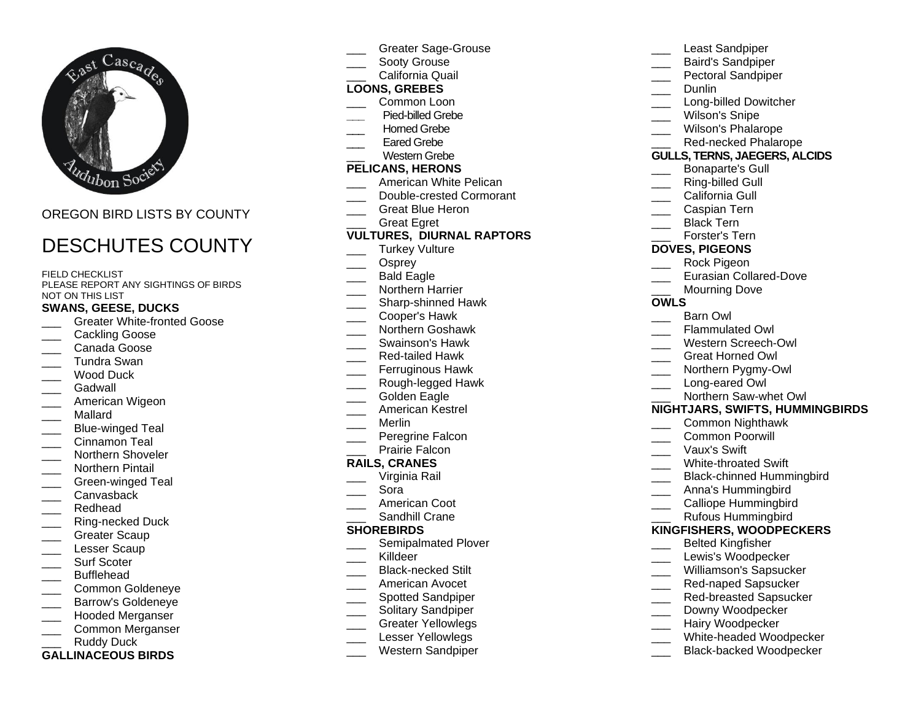

## OREGON BIRD LISTS BY COUNTY

# DESCHUTES COUNTY

#### FIELD CHECKLIST

PLEASE REPORT ANY SIGHTINGS OF BIRDS NOT ON THIS LIST

#### **SWANS, GEESE, DUCKS**

- \_\_\_ Greater White-fronted Goose
- Cackling Goose
- \_\_\_ Canada Goose
- \_\_\_ Tundra Swan
- Wood Duck
- Gadwall
- American Wigeon
- \_\_\_ Mallard
- Blue-winged Teal
- \_\_\_ Cinnamon Teal
- Northern Shoveler
- \_\_\_ Northern Pintail
- Green-winged Teal
- \_\_\_ Canvasback
- \_\_\_ Redhead
- \_\_\_ Ring-necked Duck
- Greater Scaup
- Lesser Scaup
- Surf Scoter \_\_\_ Bufflehead
- 
- \_\_\_ Common Goldeneye
- \_\_\_ Barrow's Goldeneye \_\_\_ Hooded Merganser
- Common Merganser
- Ruddy Duck
- **GALLINACEOUS BIRDS**
- \_\_\_ Greater Sage-Grouse
- Sooty Grouse
- California Quail

## **LOONS, GREBES**

- Common Loon
- **\_\_\_** Pied-billed Grebe
- Horned Grebe
- Eared Grebe
- Western Grebe

## **PELICANS, HERONS**

- American White Pelican
- Double-crested Cormorant
- Great Blue Heron
- Great Egret

## **VULTURES, DIURNAL RAPTORS**

- Turkey Vulture
- Osprey
- Bald Eagle
- \_\_\_ Northern Harrier
- \_\_\_\_ Sharp-shinned Hawk
- \_\_\_ Cooper's Hawk
- \_\_\_ Northern Goshawk
- \_\_\_ Swainson's Hawk
- \_\_\_ Red-tailed Hawk
- Ferruginous Hawk
- \_\_\_ Rough-legged Hawk
- Golden Eagle
- \_\_\_ American Kestrel
- \_\_\_ Merlin
- Peregrine Falcon
- Prairie Falcon

#### **RAILS, CRANES**

- \_\_\_ Virginia Rail
- \_\_\_ Sora
- American Coot
- Sandhill Crane

#### **SHOREBIRDS**

- Semipalmated Plover
- \_\_\_ Killdeer
- \_\_\_ Black-necked Stilt
- \_\_\_ American Avocet
- \_\_\_\_ Spotted Sandpiper
- \_\_\_ Solitary Sandpiper
- \_\_\_ Greater Yellowlegs
- Lesser Yellowlegs
- \_\_\_ Western Sandpiper
- Least Sandpiper
- \_\_\_ Baird's Sandpiper
- Pectoral Sandpiper
- \_\_\_ Dunlin
- Long-billed Dowitcher
- Wilson's Snipe
- \_\_\_ Wilson's Phalarope
- Red-necked Phalarope

#### **GULLS, TERNS, JAEGERS, ALCIDS**

- \_\_\_ Bonaparte's Gull
- Ring-billed Gull
- California Gull
- \_\_\_ Caspian Tern
- Black Tern
- \_\_\_ Forster's Tern
- **DOVES, PIGEONS**
- Rock Pigeon
- Eurasian Collared-Dove

\_\_\_ Western Screech-Owl \_\_\_ Great Horned Owl Northern Pygmy-Owl Long-eared Owl

Northern Saw-whet Owl **NIGHTJARS, SWIFTS, HUMMINGBIRDS**

> \_\_\_ Common Nighthawk \_\_\_ Common Poorwill \_\_\_ Vaux's Swift

White-throated Swift

\_\_\_ Anna's Hummingbird Calliope Hummingbird \_\_\_ Rufous Hummingbird **KINGFISHERS, WOODPECKERS** \_\_\_ Belted Kingfisher Lewis's Woodpecker Williamson's Sapsucker \_\_\_ Red-naped Sapsucker Red-breasted Sapsucker Downy Woodpecker Hairy Woodpecker

Black-chinned Hummingbird

White-headed Woodpecker Black-backed Woodpecker

- Mourning Dove
- 

## **OWLS**

- Barn Owl
- Flammulated Owl